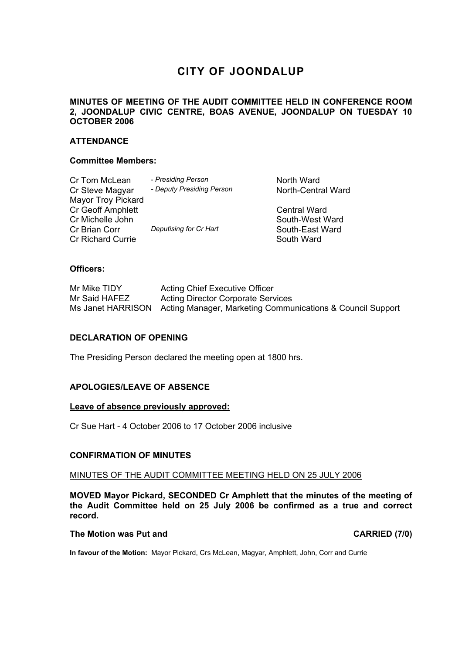# **CITY OF JOONDALUP**

# **MINUTES OF MEETING OF THE AUDIT COMMITTEE HELD IN CONFERENCE ROOM 2, JOONDALUP CIVIC CENTRE, BOAS AVENUE, JOONDALUP ON TUESDAY 10 OCTOBER 2006**

# **ATTENDANCE**

## **Committee Members:**

| Cr Tom McLean             | - Presiding Person        | North Ward          |
|---------------------------|---------------------------|---------------------|
| Cr Steve Magyar           | - Deputy Presiding Person | North-Central Ward  |
| <b>Mayor Troy Pickard</b> |                           |                     |
| <b>Cr Geoff Amphlett</b>  |                           | <b>Central Ward</b> |
| Cr Michelle John          |                           | South-West Ward     |
| Cr Brian Corr             | Deputising for Cr Hart    | South-East Ward     |
| <b>Cr Richard Currie</b>  |                           | South Ward          |

# **Officers:**

| Mr Mike TIDY  | <b>Acting Chief Executive Officer</b>                                        |
|---------------|------------------------------------------------------------------------------|
| Mr Said HAFEZ | <b>Acting Director Corporate Services</b>                                    |
|               | Ms Janet HARRISON Acting Manager, Marketing Communications & Council Support |

#### **DECLARATION OF OPENING**

The Presiding Person declared the meeting open at 1800 hrs.

## **APOLOGIES/LEAVE OF ABSENCE**

#### **Leave of absence previously approved:**

Cr Sue Hart - 4 October 2006 to 17 October 2006 inclusive

#### **CONFIRMATION OF MINUTES**

#### MINUTES OF THE AUDIT COMMITTEE MEETING HELD ON 25 JULY 2006

**MOVED Mayor Pickard, SECONDED Cr Amphlett that the minutes of the meeting of the Audit Committee held on 25 July 2006 be confirmed as a true and correct record.** 

#### **The Motion was Put and CARRIED (7/0) CARRIED (7/0)**

**In favour of the Motion:** Mayor Pickard, Crs McLean, Magyar, Amphlett, John, Corr and Currie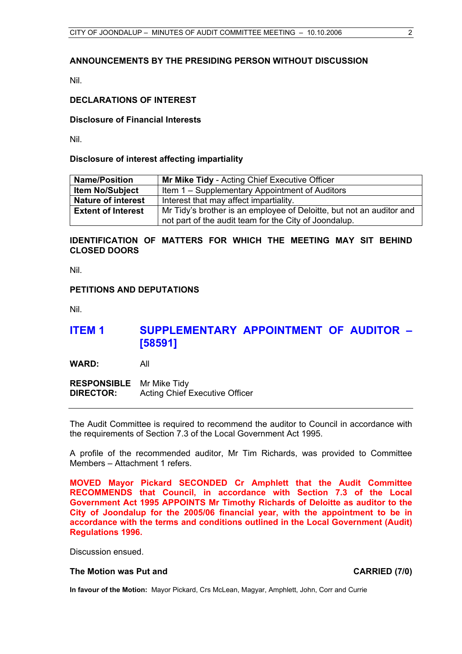# **ANNOUNCEMENTS BY THE PRESIDING PERSON WITHOUT DISCUSSION**

Nil.

## **DECLARATIONS OF INTEREST**

#### **Disclosure of Financial Interests**

Nil.

#### **Disclosure of interest affecting impartiality**

| <b>Name/Position</b>      | <b>Mr Mike Tidy</b> - Acting Chief Executive Officer                 |  |
|---------------------------|----------------------------------------------------------------------|--|
| <b>Item No/Subject</b>    | Item 1 – Supplementary Appointment of Auditors                       |  |
| <b>Nature of interest</b> | Interest that may affect impartiality.                               |  |
| <b>Extent of Interest</b> | Mr Tidy's brother is an employee of Deloitte, but not an auditor and |  |
|                           | not part of the audit team for the City of Joondalup.                |  |

# **IDENTIFICATION OF MATTERS FOR WHICH THE MEETING MAY SIT BEHIND CLOSED DOORS**

Nil.

#### **PETITIONS AND DEPUTATIONS**

Nil.

# **ITEM 1 SUPPLEMENTARY APPOINTMENT OF AUDITOR – [58591]**

**WARD:** All

**RESPONSIBLE** Mr Mike Tidy **DIRECTOR:** Acting Chief Executive Officer

The Audit Committee is required to recommend the auditor to Council in accordance with the requirements of Section 7.3 of the Local Government Act 1995.

A profile of the recommended auditor, Mr Tim Richards, was provided to Committee Members – Attachment 1 refers.

**MOVED Mayor Pickard SECONDED Cr Amphlett that the Audit Committee RECOMMENDS that Council, in accordance with Section 7.3 of the Local Government Act 1995 APPOINTS Mr Timothy Richards of Deloitte as auditor to the City of Joondalup for the 2005/06 financial year, with the appointment to be in accordance with the terms and conditions outlined in the Local Government (Audit) Regulations 1996.** 

Discussion ensued.

#### **The Motion was Put and CARRIED (7/0) CARRIED (7/0)**

**In favour of the Motion:** Mayor Pickard, Crs McLean, Magyar, Amphlett, John, Corr and Currie